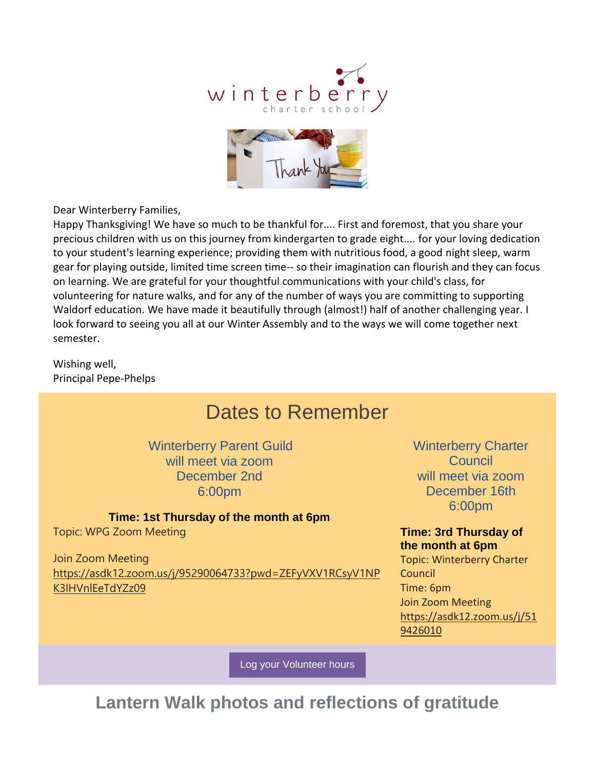



Dear Winterberry Families,

Happy Thanksgiving! We have so much to be thankful for.... First and foremost, that you share your precious children with us on this journey from kindergarten to grade eight.... for your loving dedication to your student's learning experience; providing them with nutritious food, a good night sleep, warm gear for playing outside, limited time screen time-- so their imagination can flourish and they can focus on learning. We are grateful for your thoughtful communications with your child's class, for volunteering for nature walks, and for any of the number of ways you are committing to supporting Waldorf education. We have made it beautifully through (almost!) half of another challenging year. I look forward to seeing you all at our Winter Assembly and to the ways we will come together next semester.

Wishing well, Principal Pepe-Phelps

# Dates to Remember

Winterberry Parent Guild will meet via zoom December 2nd 6:00pm

#### **Time: 1st Thursday of the month at 6pm**

Topic: WPG Zoom Meeting

Join Zoom Meeting [https://asdk12.zoom.us/j/95290064733?pwd=ZEFyVXV1RCsyV1NP](https://nam12.safelinks.protection.outlook.com/?url=https%3A%2F%2Fr20.rs6.net%2Ftn.jsp%3Ff%3D0010HlSFscSzxHjk7HRP8noQMYvfB6z8LPTClozrBl75B09d7yxt8UtWn2iKfkm5NTTFiQbQvCSb8uknfFuqoB2kBhq4R2FU8XP22t-KZW4TXoKj-riYWbsuScQzFJBxE_5Yc7NY9YHx1Oj4PEVf6uWzTRvGfJeFbQOE1YHdcg16gMLXMq1EnJy0IFsJY42U6CpcyEArIliuNcic8sLRun3DEJjz8M__NUwUSmQxClifTTQ7PLPuyatGF1wLnMch_SKCAnG3Jx-hvSvcfZzZKvDBkCNQaaMD7bJxr0CaSwuSWseLKn_QbLkHpwuq3SwSsjdNort5RPlYLuESzaSrJuSqMltZ0WAs65QRDp33R1Q5XPEyCudl3VL0Eltozmohpgx7jXrPDZYVkS2MMh9vr31vIKB76NjU_9kb0mpxbpldSKgQgwlmfU62Nmft4uZjxjbW-LuRgtDynuOEoaxTaV4bmrMP8tbD853gOXoSUMGfljsaAs8f3051k01AAcpAL4wY8KpXMOsNZeG7rejuednDsc-DGYMS3o4g-xO7lncwY9sIN5nrSOfXdUJnUJpW3jnB75RKTeYWE-8cikNm5aszklY62Ce2mYfkyT8QHN1UQXY6ix-2b9B87NVyqXPp6SpsnakdWj65z0I01k4LJoimF_09TjiqPl-JCB5KPHVK2wiKVx40mcrpRuZdT-xuAWkvKSJjePWoQwcJI6PQKWWzRG2aXxUh4alNYwR_V-mIfwiR_iYczwTXCQeYgKS4iIK-6JiMCYJt_EvCmvApckFNw%3D%3D%26c%3DQRsliZat1pd334_GHjAycz2w1objcG5qz9bLLwT6-HroWaXv1BgJLg%3D%3D%26ch%3D0-kD6gFJTLvQ1XCJcX3RZIkgXZkAzzjwYj6Hv_2cNVvyMan-9jpcCg%3D%3D&data=04%7C01%7Cgarrels_shana%40asdk12.org%7C1e613f7d6c124a66d5be08d9afa9a279%7C036ce601e95a4e46a3bd6b742ed4bb35%7C0%7C0%7C637733965386026584%7CUnknown%7CTWFpbGZsb3d8eyJWIjoiMC4wLjAwMDAiLCJQIjoiV2luMzIiLCJBTiI6Ik1haWwiLCJXVCI6Mn0%3D%7C3000&sdata=CgiOPRnsRs%2FvdO0Tre5C06mA5%2FNUgznUq547FSxrwKU%3D&reserved=0) [K3lHVnlEeTdYZz09](https://nam12.safelinks.protection.outlook.com/?url=https%3A%2F%2Fr20.rs6.net%2Ftn.jsp%3Ff%3D0010HlSFscSzxHjk7HRP8noQMYvfB6z8LPTClozrBl75B09d7yxt8UtWn2iKfkm5NTTFiQbQvCSb8uknfFuqoB2kBhq4R2FU8XP22t-KZW4TXoKj-riYWbsuScQzFJBxE_5Yc7NY9YHx1Oj4PEVf6uWzTRvGfJeFbQOE1YHdcg16gMLXMq1EnJy0IFsJY42U6CpcyEArIliuNcic8sLRun3DEJjz8M__NUwUSmQxClifTTQ7PLPuyatGF1wLnMch_SKCAnG3Jx-hvSvcfZzZKvDBkCNQaaMD7bJxr0CaSwuSWseLKn_QbLkHpwuq3SwSsjdNort5RPlYLuESzaSrJuSqMltZ0WAs65QRDp33R1Q5XPEyCudl3VL0Eltozmohpgx7jXrPDZYVkS2MMh9vr31vIKB76NjU_9kb0mpxbpldSKgQgwlmfU62Nmft4uZjxjbW-LuRgtDynuOEoaxTaV4bmrMP8tbD853gOXoSUMGfljsaAs8f3051k01AAcpAL4wY8KpXMOsNZeG7rejuednDsc-DGYMS3o4g-xO7lncwY9sIN5nrSOfXdUJnUJpW3jnB75RKTeYWE-8cikNm5aszklY62Ce2mYfkyT8QHN1UQXY6ix-2b9B87NVyqXPp6SpsnakdWj65z0I01k4LJoimF_09TjiqPl-JCB5KPHVK2wiKVx40mcrpRuZdT-xuAWkvKSJjePWoQwcJI6PQKWWzRG2aXxUh4alNYwR_V-mIfwiR_iYczwTXCQeYgKS4iIK-6JiMCYJt_EvCmvApckFNw%3D%3D%26c%3DQRsliZat1pd334_GHjAycz2w1objcG5qz9bLLwT6-HroWaXv1BgJLg%3D%3D%26ch%3D0-kD6gFJTLvQ1XCJcX3RZIkgXZkAzzjwYj6Hv_2cNVvyMan-9jpcCg%3D%3D&data=04%7C01%7Cgarrels_shana%40asdk12.org%7C1e613f7d6c124a66d5be08d9afa9a279%7C036ce601e95a4e46a3bd6b742ed4bb35%7C0%7C0%7C637733965386026584%7CUnknown%7CTWFpbGZsb3d8eyJWIjoiMC4wLjAwMDAiLCJQIjoiV2luMzIiLCJBTiI6Ik1haWwiLCJXVCI6Mn0%3D%7C3000&sdata=CgiOPRnsRs%2FvdO0Tre5C06mA5%2FNUgznUq547FSxrwKU%3D&reserved=0)

Winterberry Charter **Council** will meet via zoom December 16th 6:00pm

**Time: 3rd Thursday of the month at 6pm**

Topic: Winterberry Charter **Council** Time: 6pm Join Zoom Meeting [https://asdk12.zoom.us/j/51](https://nam12.safelinks.protection.outlook.com/?url=https%3A%2F%2Fr20.rs6.net%2Ftn.jsp%3Ff%3D0010HlSFscSzxHjk7HRP8noQMYvfB6z8LPTClozrBl75B09d7yxt8UtWn2iKfkm5NTTivOz39PEQMqNg21zUOS_hJxgg99fcQqSC9zWPy__bh3Gmi6S9iGjqhk9V2MMi97i_AcO3Ge1zV1oJY7FlaecB2rYZXJ8e9zf-b1OvgsDsn4uj661nMdTgMpT04fK3jJeJS3G4z4naJZQvLobS5Sa_34snb8nq07kQgH-2Z0_mYbzUl3DvkLnuHGEA6GMTcRL4xr1binG1jMwqGgmdfNMe59kodj4sCPxJrZh-sWls8S4LzYNF3GDXFLvVgcspetVkgHatVnxPzBlhBWA7eixYF6E9NjUHz5LkkB4YtJUgCsdLixwFsI2No6ndzKrKZBrFjq6TjRlaExIRv6W4Z1G89oxZ2raLO11feiI5o-BjJceh4lMoiDmVV8GOpdmFbyLGpBv0IVRm9fAooVF-GAstLPlkFdK7G7xrbX9Hp0pHKUfqHhOnMtrz3bTg9CRnQmqbbC4ZLTXinyWnDNrpRkTy-FlECmJ9JSPIz9kjkOn_weglpHelW39FAsFCquskA3czbl22Ef6TAFFR73RUrGlXFM_CUrAkEBCrbH4QtwrX7dpoXIkPDBGwtzbJo8TJFBy2E9Nlde16HcQaDBEugaRwGnwgkmyx_gpFsB0ZyyV7Yg3SHyUbRGT4gi3WHfWLAfW5IvBqOJ0f7TUlrNx1MuD3g%3D%3D%26c%3DQRsliZat1pd334_GHjAycz2w1objcG5qz9bLLwT6-HroWaXv1BgJLg%3D%3D%26ch%3D0-kD6gFJTLvQ1XCJcX3RZIkgXZkAzzjwYj6Hv_2cNVvyMan-9jpcCg%3D%3D&data=04%7C01%7Cgarrels_shana%40asdk12.org%7C1e613f7d6c124a66d5be08d9afa9a279%7C036ce601e95a4e46a3bd6b742ed4bb35%7C0%7C0%7C637733965386036540%7CUnknown%7CTWFpbGZsb3d8eyJWIjoiMC4wLjAwMDAiLCJQIjoiV2luMzIiLCJBTiI6Ik1haWwiLCJXVCI6Mn0%3D%7C3000&sdata=fcoE7YA05FmBtp9eEuSl3mJ%2BULsvKPqmyqAVDG2rb6k%3D&reserved=0) [9426010](https://nam12.safelinks.protection.outlook.com/?url=https%3A%2F%2Fr20.rs6.net%2Ftn.jsp%3Ff%3D0010HlSFscSzxHjk7HRP8noQMYvfB6z8LPTClozrBl75B09d7yxt8UtWn2iKfkm5NTTivOz39PEQMqNg21zUOS_hJxgg99fcQqSC9zWPy__bh3Gmi6S9iGjqhk9V2MMi97i_AcO3Ge1zV1oJY7FlaecB2rYZXJ8e9zf-b1OvgsDsn4uj661nMdTgMpT04fK3jJeJS3G4z4naJZQvLobS5Sa_34snb8nq07kQgH-2Z0_mYbzUl3DvkLnuHGEA6GMTcRL4xr1binG1jMwqGgmdfNMe59kodj4sCPxJrZh-sWls8S4LzYNF3GDXFLvVgcspetVkgHatVnxPzBlhBWA7eixYF6E9NjUHz5LkkB4YtJUgCsdLixwFsI2No6ndzKrKZBrFjq6TjRlaExIRv6W4Z1G89oxZ2raLO11feiI5o-BjJceh4lMoiDmVV8GOpdmFbyLGpBv0IVRm9fAooVF-GAstLPlkFdK7G7xrbX9Hp0pHKUfqHhOnMtrz3bTg9CRnQmqbbC4ZLTXinyWnDNrpRkTy-FlECmJ9JSPIz9kjkOn_weglpHelW39FAsFCquskA3czbl22Ef6TAFFR73RUrGlXFM_CUrAkEBCrbH4QtwrX7dpoXIkPDBGwtzbJo8TJFBy2E9Nlde16HcQaDBEugaRwGnwgkmyx_gpFsB0ZyyV7Yg3SHyUbRGT4gi3WHfWLAfW5IvBqOJ0f7TUlrNx1MuD3g%3D%3D%26c%3DQRsliZat1pd334_GHjAycz2w1objcG5qz9bLLwT6-HroWaXv1BgJLg%3D%3D%26ch%3D0-kD6gFJTLvQ1XCJcX3RZIkgXZkAzzjwYj6Hv_2cNVvyMan-9jpcCg%3D%3D&data=04%7C01%7Cgarrels_shana%40asdk12.org%7C1e613f7d6c124a66d5be08d9afa9a279%7C036ce601e95a4e46a3bd6b742ed4bb35%7C0%7C0%7C637733965386036540%7CUnknown%7CTWFpbGZsb3d8eyJWIjoiMC4wLjAwMDAiLCJQIjoiV2luMzIiLCJBTiI6Ik1haWwiLCJXVCI6Mn0%3D%7C3000&sdata=fcoE7YA05FmBtp9eEuSl3mJ%2BULsvKPqmyqAVDG2rb6k%3D&reserved=0)

[Log your Volunteer hours](https://nam12.safelinks.protection.outlook.com/?url=https%3A%2F%2Fr20.rs6.net%2Ftn.jsp%3Ff%3D0010HlSFscSzxHjk7HRP8noQMYvfB6z8LPTClozrBl75B09d7yxt8UtWgLAxuDfNbv9DXh4tqQyhc-SRhktEaA28mfed4BKhiK9yntrpY4EhcwLcCreDLFgXtbVlYpEN91MNRyILuzFT7klTHsITxPTqZrrFLuIAMb2X57kTJsS6juoU7Cl5Z0RuUZj_sH6QFtV8UIrLzSEJted8mSIRYHQ_y9hDtgJipfOnCuuNaTR0iMdQE1E3-rLzpvTOZepDwkBArIo86S3YJZ2921yQyDouA%3D%3D%26c%3DQRsliZat1pd334_GHjAycz2w1objcG5qz9bLLwT6-HroWaXv1BgJLg%3D%3D%26ch%3D0-kD6gFJTLvQ1XCJcX3RZIkgXZkAzzjwYj6Hv_2cNVvyMan-9jpcCg%3D%3D&data=04%7C01%7Cgarrels_shana%40asdk12.org%7C1e613f7d6c124a66d5be08d9afa9a279%7C036ce601e95a4e46a3bd6b742ed4bb35%7C0%7C0%7C637733965386036540%7CUnknown%7CTWFpbGZsb3d8eyJWIjoiMC4wLjAwMDAiLCJQIjoiV2luMzIiLCJBTiI6Ik1haWwiLCJXVCI6Mn0%3D%7C3000&sdata=WbGQAcuBdptoKlr%2BNz2miIpF2M4EFG3gyVbzl7qWs5Y%3D&reserved=0)

## **Lantern Walk photos and reflections of gratitude**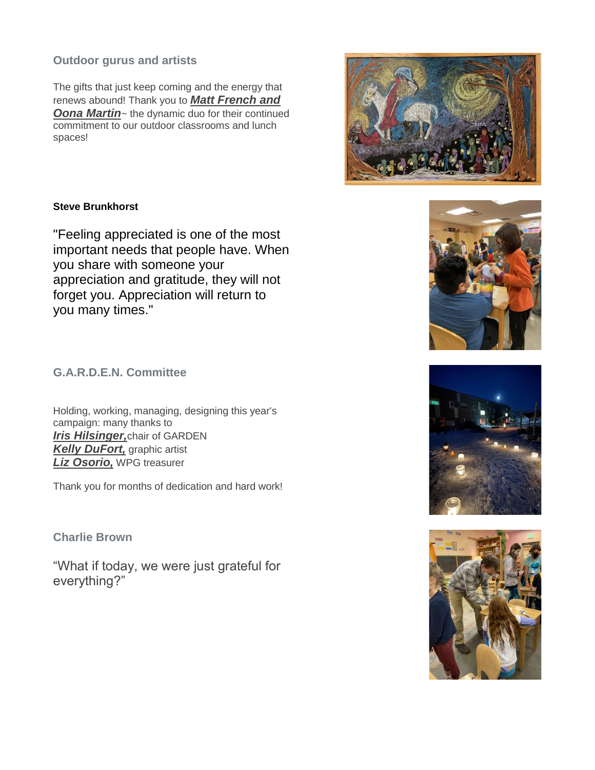### **Outdoor gurus and artists**

The gifts that just keep coming and the energy that renews abound! Thank you to *Matt French and*  **Oona Martin**~ the dynamic duo for their continued commitment to our outdoor classrooms and lunch spaces!



"Feeling appreciated is one of the most important needs that people have. When you share with someone your appreciation and gratitude, they will not forget you. Appreciation will return to you many times."

**G.A.R.D.E.N. Committee**

Holding, working, managing, designing this year's campaign: many thanks to *Iris Hilsinger,*chair of GARDEN *Kelly DuFort,* graphic artist *Liz Osorio,* WPG treasurer

Thank you for months of dedication and hard work!

**Charlie Brown**

"What if today, we were just grateful for everything?"







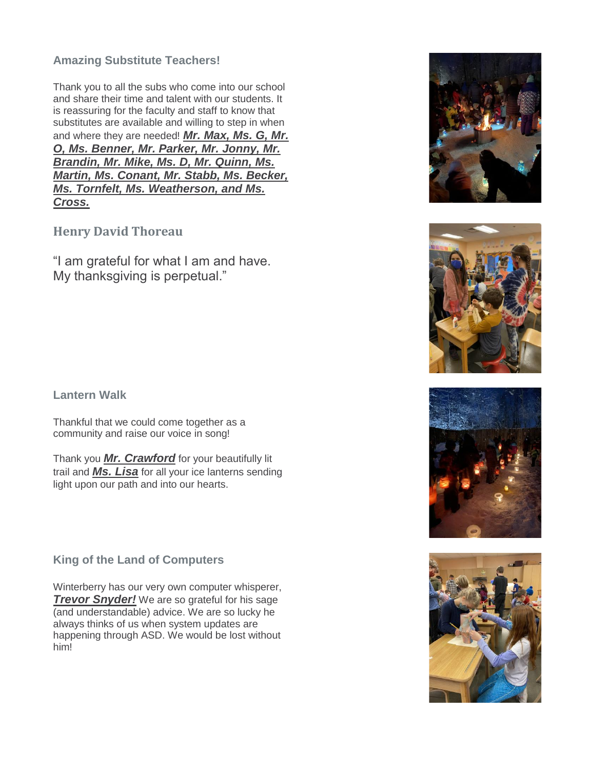## **Amazing Substitute Teachers!**

Thank you to all the subs who come into our school and share their time and talent with our students. It is reassuring for the faculty and staff to know that substitutes are available and willing to step in when and where they are needed! *Mr. Max, Ms. G, Mr. O, Ms. Benner, Mr. Parker, Mr. Jonny, Mr. Brandin, Mr. Mike, Ms. D, Mr. Quinn, Ms. Martin, Ms. Conant, Mr. Stabb, Ms. Becker, Ms. Tornfelt, Ms. Weatherson, and Ms. Cross.*

## **Henry David Thoreau**

"I am grateful for what I am and have. My thanksgiving is perpetual."

#### **Lantern Walk**

Thankful that we could come together as a community and raise our voice in song!

Thank you *Mr. Crawford* for your beautifully lit trail and *Ms. Lisa* for all your ice lanterns sending light upon our path and into our hearts.

## **King of the Land of Computers**

Winterberry has our very own computer whisperer, *Trevor Snyder!* We are so grateful for his sage (and understandable) advice. We are so lucky he always thinks of us when system updates are happening through ASD. We would be lost without him!